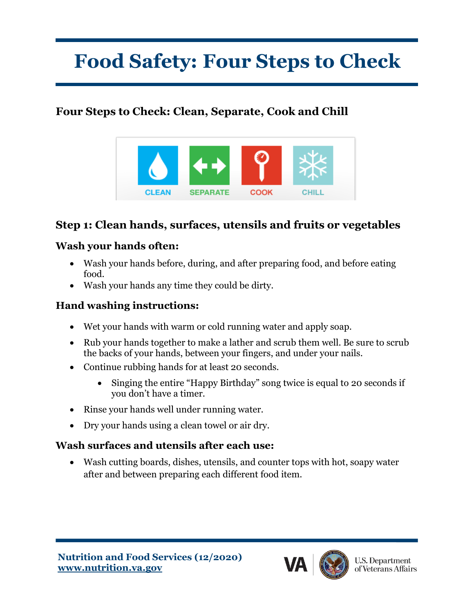# **Food Safety: Four Steps to Check**

# **Four Steps to Check: Clean, Separate, Cook and Chill**



#### **Step 1: Clean hands, surfaces, utensils and fruits or vegetables**

#### **Wash your hands often:**

- Wash your hands before, during, and after preparing food, and before eating food.
- Wash your hands any time they could be dirty.

#### **Hand washing instructions:**

- Wet your hands with warm or cold running water and apply soap.
- Rub your hands together to make a lather and scrub them well. Be sure to scrub the backs of your hands, between your fingers, and under your nails.
- Continue rubbing hands for at least 20 seconds.
	- Singing the entire "Happy Birthday" song twice is equal to 20 seconds if you don't have a timer.
- Rinse your hands well under running water.
- Dry your hands using a clean towel or air dry.

#### **Wash surfaces and utensils after each use:**

• Wash cutting boards, dishes, utensils, and counter tops with hot, soapy water after and between preparing each different food item.

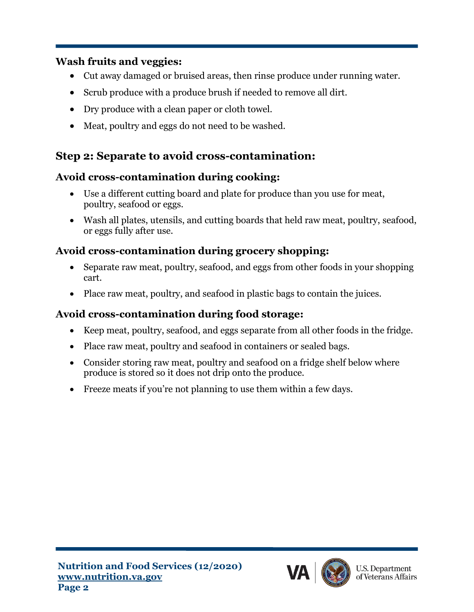#### **Wash fruits and veggies:**

- Cut away damaged or bruised areas, then rinse produce under running water.
- Scrub produce with a produce brush if needed to remove all dirt.
- Dry produce with a clean paper or cloth towel.
- Meat, poultry and eggs do not need to be washed.

## **Step 2: Separate to avoid cross-contamination:**

#### **Avoid cross-contamination during cooking:**

- Use a different cutting board and plate for produce than you use for meat, poultry, seafood or eggs.
- Wash all plates, utensils, and cutting boards that held raw meat, poultry, seafood, or eggs fully after use.

## **Avoid cross-contamination during grocery shopping:**

- Separate raw meat, poultry, seafood, and eggs from other foods in your shopping cart.
- Place raw meat, poultry, and seafood in plastic bags to contain the juices.

## **Avoid cross-contamination during food storage:**

- Keep meat, poultry, seafood, and eggs separate from all other foods in the fridge.
- Place raw meat, poultry and seafood in containers or sealed bags.
- Consider storing raw meat, poultry and seafood on a fridge shelf below where produce is stored so it does not drip onto the produce.
- Freeze meats if you're not planning to use them within a few days.



**U.S. Department** of Veterans Affairs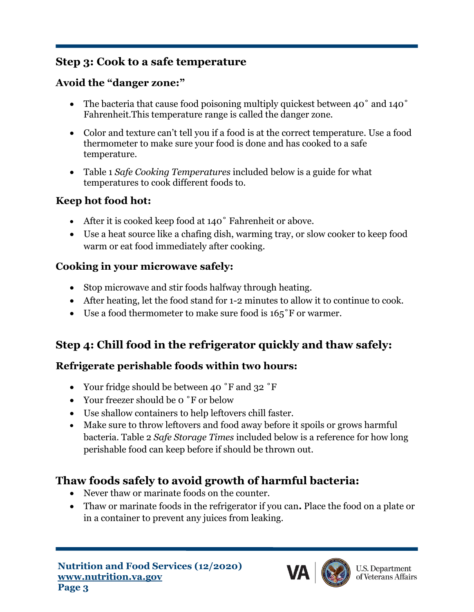#### **Step 3: Cook to a safe temperature**

#### **Avoid the "danger zone:"**

- The bacteria that cause food poisoning multiply quickest between 40° and 140° Fahrenheit.This temperature range is called the danger zone.
- Color and texture can't tell you if a food is at the correct temperature. Use a food thermometer to make sure your food is done and has cooked to a safe temperature.
- Table 1 *Safe Cooking Temperatures* included below is a guide for what temperatures to cook different foods to.

## **Keep hot food hot:**

- After it is cooked keep food at 140° Fahrenheit or above.
- Use a heat source like a chafing dish, warming tray, or slow cooker to keep food warm or eat food immediately after cooking.

## **Cooking in your microwave safely:**

- Stop microwave and stir foods halfway through heating.
- After heating, let the food stand for 1-2 minutes to allow it to continue to cook.
- Use a food thermometer to make sure food is 165°F or warmer.

# **Step 4: Chill food in the refrigerator quickly and thaw safely:**

## **Refrigerate perishable foods within two hours:**

- Your fridge should be between 40 °F and 32 °F
- Your freezer should be o °F or below
- Use shallow containers to help leftovers chill faster.
- Make sure to throw leftovers and food away before it spoils or grows harmful bacteria. Table 2 *Safe Storage Times* included below is a reference for how long perishable food can keep before if should be thrown out.

## **Thaw foods safely to avoid growth of harmful bacteria:**

- Never thaw or marinate foods on the counter.
- Thaw or marinate foods in the refrigerator if you can**.** Place the food on a plate or in a container to prevent any juices from leaking.

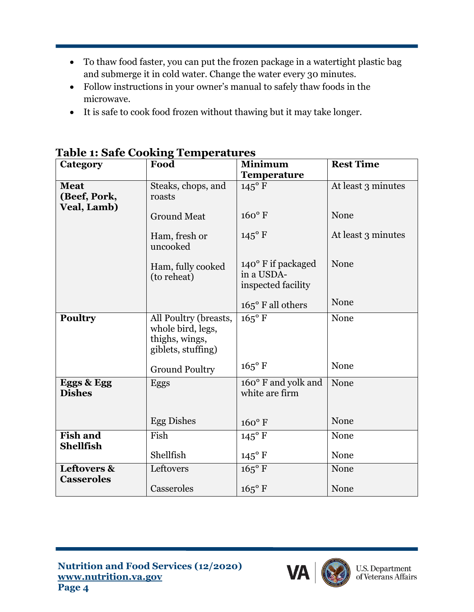- To thaw food faster, you can put the frozen package in a watertight plastic bag and submerge it in cold water. Change the water every 30 minutes.
- Follow instructions in your owner's manual to safely thaw foods in the microwave.
- It is safe to cook food frozen without thawing but it may take longer.

| Category                                          | Food                                                                               | <b>Minimum</b>                                         | <b>Rest Time</b>   |
|---------------------------------------------------|------------------------------------------------------------------------------------|--------------------------------------------------------|--------------------|
|                                                   |                                                                                    | Temperature                                            |                    |
| <b>Meat</b><br>(Beef, Pork,<br><b>Veal, Lamb)</b> | Steaks, chops, and<br>roasts                                                       | $145^{\circ}$ F                                        | At least 3 minutes |
|                                                   | <b>Ground Meat</b>                                                                 | $160^{\circ}$ F                                        | None               |
|                                                   | Ham, fresh or<br>uncooked                                                          | $145^{\circ}$ F                                        | At least 3 minutes |
|                                                   | Ham, fully cooked<br>(to reheat)                                                   | 140° F if packaged<br>in a USDA-<br>inspected facility | None               |
|                                                   |                                                                                    | $165^{\circ}$ F all others                             | None               |
| <b>Poultry</b>                                    | All Poultry (breasts,<br>whole bird, legs,<br>thighs, wings,<br>giblets, stuffing) | $165^{\circ}$ F                                        | None               |
|                                                   | <b>Ground Poultry</b>                                                              | $165^{\circ}$ F                                        | None               |
| Eggs & Egg<br><b>Dishes</b>                       | Eggs                                                                               | 160° F and yolk and<br>white are firm                  | None               |
|                                                   | <b>Egg Dishes</b>                                                                  | $160^{\circ}$ F                                        | None               |
| <b>Fish and</b><br><b>Shellfish</b>               | Fish                                                                               | $145^{\circ}$ F                                        | None               |
|                                                   | Shellfish                                                                          | $145^{\circ}$ F                                        | None               |
| Leftovers &<br><b>Casseroles</b>                  | Leftovers                                                                          | $165^{\circ}$ F                                        | None               |
|                                                   | Casseroles                                                                         | $165^{\circ}$ F                                        | None               |

#### **Table 1: Safe Cooking Temperatures**